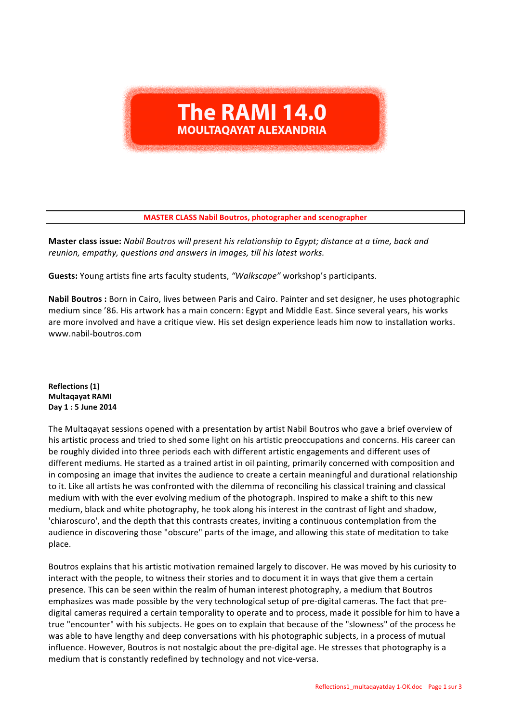## **The RAMI 14.0 MOULTAOAYAT ALEXANDRIA**

**MASTER CLASS Nabil Boutros, photographer and scenographer** 

**Master class issue:** Nabil Boutros will present his relationship to Egypt; distance at a time, back and reunion, empathy, questions and answers in images, till his latest works.

Guests: Young artists fine arts faculty students, "Walkscape" workshop's participants.

**Nabil Boutros** : Born in Cairo, lives between Paris and Cairo. Painter and set designer, he uses photographic medium since '86. His artwork has a main concern: Egypt and Middle East. Since several years, his works are more involved and have a critique view. His set design experience leads him now to installation works. www.nabil-boutros.com

**Reflections (1) Multaqayat RAMI Day 1 : 5 June 2014**

The Multaqayat sessions opened with a presentation by artist Nabil Boutros who gave a brief overview of his artistic process and tried to shed some light on his artistic preoccupations and concerns. His career can be roughly divided into three periods each with different artistic engagements and different uses of different mediums. He started as a trained artist in oil painting, primarily concerned with composition and in composing an image that invites the audience to create a certain meaningful and durational relationship to it. Like all artists he was confronted with the dilemma of reconciling his classical training and classical medium with with the ever evolving medium of the photograph. Inspired to make a shift to this new medium, black and white photography, he took along his interest in the contrast of light and shadow, 'chiaroscuro', and the depth that this contrasts creates, inviting a continuous contemplation from the audience in discovering those "obscure" parts of the image, and allowing this state of meditation to take place. 

Boutros explains that his artistic motivation remained largely to discover. He was moved by his curiosity to interact with the people, to witness their stories and to document it in ways that give them a certain presence. This can be seen within the realm of human interest photography, a medium that Boutros emphasizes was made possible by the very technological setup of pre-digital cameras. The fact that predigital cameras required a certain temporality to operate and to process, made it possible for him to have a true "encounter" with his subjects. He goes on to explain that because of the "slowness" of the process he was able to have lengthy and deep conversations with his photographic subjects, in a process of mutual influence. However, Boutros is not nostalgic about the pre-digital age. He stresses that photography is a medium that is constantly redefined by technology and not vice-versa.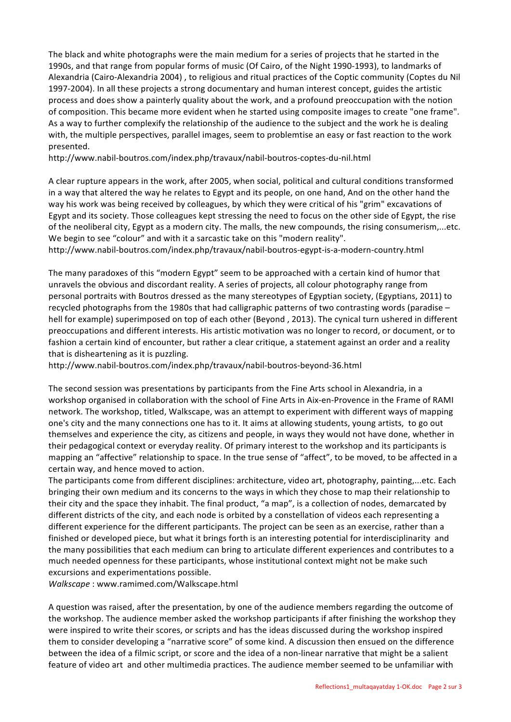The black and white photographs were the main medium for a series of projects that he started in the 1990s, and that range from popular forms of music (Of Cairo, of the Night 1990-1993), to landmarks of Alexandria (Cairo-Alexandria 2004) , to religious and ritual practices of the Coptic community (Coptes du Nil 1997-2004). In all these projects a strong documentary and human interest concept, guides the artistic process and does show a painterly quality about the work, and a profound preoccupation with the notion of composition. This became more evident when he started using composite images to create "one frame". As a way to further complexify the relationship of the audience to the subject and the work he is dealing with, the multiple perspectives, parallel images, seem to problemtise an easy or fast reaction to the work presented. 

http://www.nabil-boutros.com/index.php/travaux/nabil-boutros-coptes-du-nil.html

A clear rupture appears in the work, after 2005, when social, political and cultural conditions transformed in a way that altered the way he relates to Egypt and its people, on one hand, And on the other hand the way his work was being received by colleagues, by which they were critical of his "grim" excavations of Egypt and its society. Those colleagues kept stressing the need to focus on the other side of Egypt, the rise of the neoliberal city, Egypt as a modern city. The malls, the new compounds, the rising consumerism,...etc. We begin to see "colour" and with it a sarcastic take on this "modern reality".

http://www.nabil-boutros.com/index.php/travaux/nabil-boutros-egypt-is-a-modern-country.html

The many paradoxes of this "modern Egypt" seem to be approached with a certain kind of humor that unravels the obvious and discordant reality. A series of projects, all colour photography range from personal portraits with Boutros dressed as the many stereotypes of Egyptian society, (Egyptians, 2011) to recycled photographs from the 1980s that had calligraphic patterns of two contrasting words (paradise  $$ hell for example) superimposed on top of each other (Beyond, 2013). The cynical turn ushered in different preoccupations and different interests. His artistic motivation was no longer to record, or document, or to fashion a certain kind of encounter, but rather a clear critique, a statement against an order and a reality that is disheartening as it is puzzling.

http://www.nabil-boutros.com/index.php/travaux/nabil-boutros-beyond-36.html

The second session was presentations by participants from the Fine Arts school in Alexandria, in a workshop organised in collaboration with the school of Fine Arts in Aix-en-Provence in the Frame of RAMI network. The workshop, titled, Walkscape, was an attempt to experiment with different ways of mapping one's city and the many connections one has to it. It aims at allowing students, young artists, to go out themselves and experience the city, as citizens and people, in ways they would not have done, whether in their pedagogical context or everyday reality. Of primary interest to the workshop and its participants is mapping an "affective" relationship to space. In the true sense of "affect", to be moved, to be affected in a certain way, and hence moved to action.

The participants come from different disciplines: architecture, video art, photography, painting,...etc. Each bringing their own medium and its concerns to the ways in which they chose to map their relationship to their city and the space they inhabit. The final product, "a map", is a collection of nodes, demarcated by different districts of the city, and each node is orbited by a constellation of videos each representing a different experience for the different participants. The project can be seen as an exercise, rather than a finished or developed piece, but what it brings forth is an interesting potential for interdisciplinarity and the many possibilities that each medium can bring to articulate different experiences and contributes to a much needed openness for these participants, whose institutional context might not be make such excursions and experimentations possible.

*Walkscape*: www.ramimed.com/Walkscape.html

A question was raised, after the presentation, by one of the audience members regarding the outcome of the workshop. The audience member asked the workshop participants if after finishing the workshop they were inspired to write their scores, or scripts and has the ideas discussed during the workshop inspired them to consider developing a "narrative score" of some kind. A discussion then ensued on the difference between the idea of a filmic script, or score and the idea of a non-linear narrative that might be a salient feature of video art and other multimedia practices. The audience member seemed to be unfamiliar with